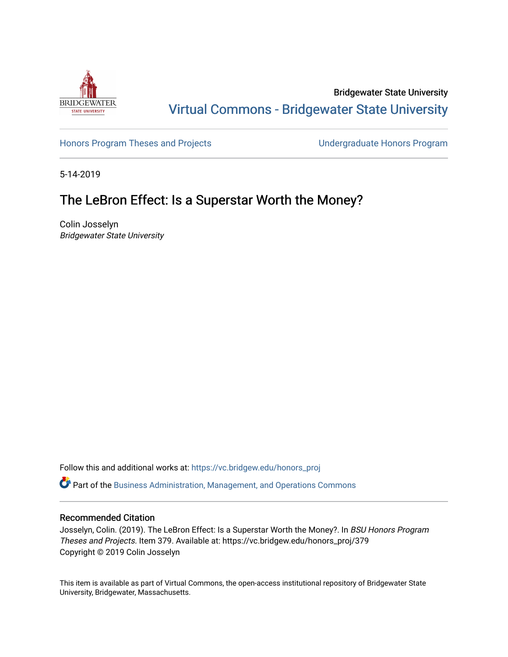

Bridgewater State University [Virtual Commons - Bridgewater State University](https://vc.bridgew.edu/) 

[Honors Program Theses and Projects](https://vc.bridgew.edu/honors_proj) [Undergraduate Honors Program](https://vc.bridgew.edu/honors) 

5-14-2019

# The LeBron Effect: Is a Superstar Worth the Money?

Colin Josselyn Bridgewater State University

Follow this and additional works at: [https://vc.bridgew.edu/honors\\_proj](https://vc.bridgew.edu/honors_proj?utm_source=vc.bridgew.edu%2Fhonors_proj%2F379&utm_medium=PDF&utm_campaign=PDFCoverPages)

Part of the [Business Administration, Management, and Operations Commons](http://network.bepress.com/hgg/discipline/623?utm_source=vc.bridgew.edu%2Fhonors_proj%2F379&utm_medium=PDF&utm_campaign=PDFCoverPages)

### Recommended Citation

Josselyn, Colin. (2019). The LeBron Effect: Is a Superstar Worth the Money?. In BSU Honors Program Theses and Projects. Item 379. Available at: https://vc.bridgew.edu/honors\_proj/379 Copyright © 2019 Colin Josselyn

This item is available as part of Virtual Commons, the open-access institutional repository of Bridgewater State University, Bridgewater, Massachusetts.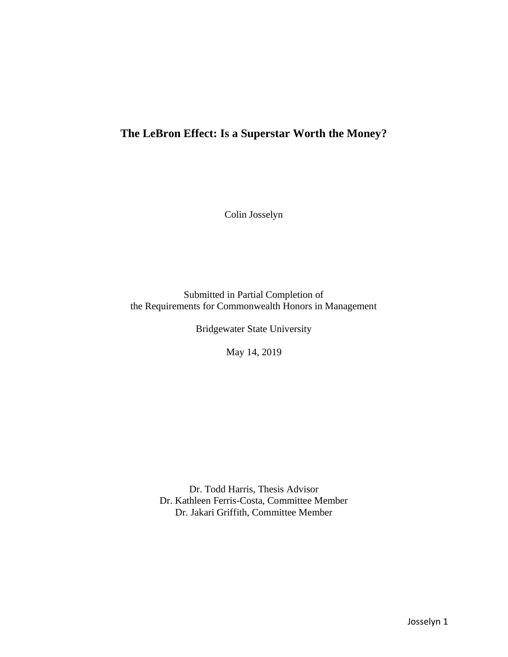# **The LeBron Effect: Is a Superstar Worth the Money?**

Colin Josselyn

Submitted in Partial Completion of the Requirements for Commonwealth Honors in Management

Bridgewater State University

May 14, 2019

Dr. Todd Harris, Thesis Advisor Dr. Kathleen Ferris-Costa, Committee Member Dr. Jakari Griffith, Committee Member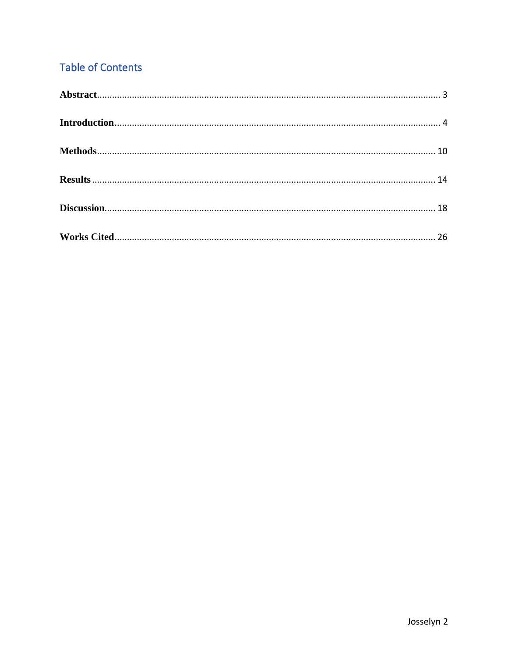# **Table of Contents**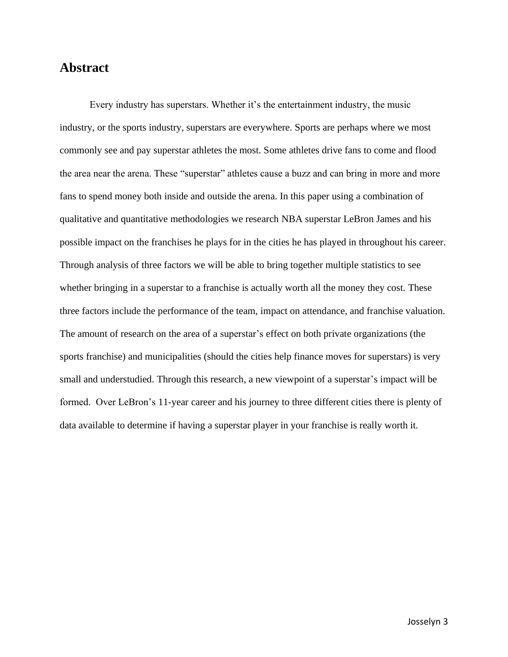## <span id="page-3-0"></span>**Abstract**

<span id="page-3-1"></span>Every industry has superstars. Whether it's the entertainment industry, the music industry, or the sports industry, superstars are everywhere. Sports are perhaps where we most commonly see and pay superstar athletes the most. Some athletes drive fans to come and flood the area near the arena. These "superstar" athletes cause a buzz and can bring in more and more fans to spend money both inside and outside the arena. In this paper using a combination of qualitative and quantitative methodologies we research NBA superstar LeBron James and his possible impact on the franchises he plays for in the cities he has played in throughout his career. Through analysis of three factors we will be able to bring together multiple statistics to see whether bringing in a superstar to a franchise is actually worth all the money they cost. These three factors include the performance of the team, impact on attendance, and franchise valuation. The amount of research on the area of a superstar's effect on both private organizations (the sports franchise) and municipalities (should the cities help finance moves for superstars) is very small and understudied. Through this research, a new viewpoint of a superstar's impact will be formed. Over LeBron's 11-year career and his journey to three different cities there is plenty of data available to determine if having a superstar player in your franchise is really worth it.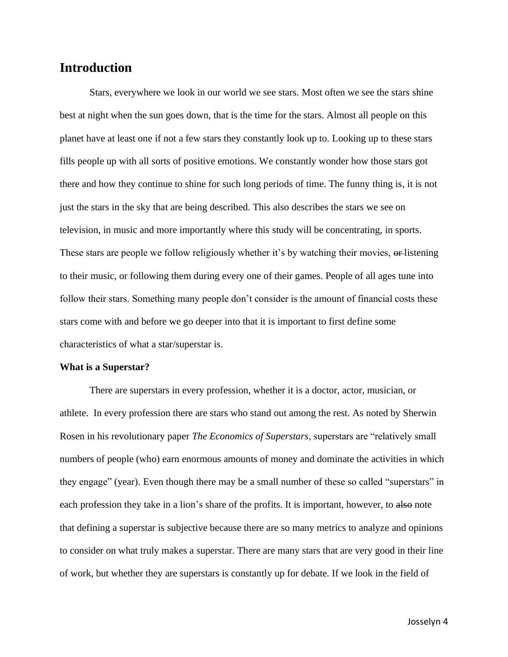## **Introduction**

Stars, everywhere we look in our world we see stars. Most often we see the stars shine best at night when the sun goes down, that is the time for the stars. Almost all people on this planet have at least one if not a few stars they constantly look up to. Looking up to these stars fills people up with all sorts of positive emotions. We constantly wonder how those stars got there and how they continue to shine for such long periods of time. The funny thing is, it is not just the stars in the sky that are being described. This also describes the stars we see on television, in music and more importantly where this study will be concentrating, in sports. These stars are people we follow religiously whether it's by watching their movies, or listening to their music, or following them during every one of their games. People of all ages tune into follow their stars. Something many people don't consider is the amount of financial costs these stars come with and before we go deeper into that it is important to first define some characteristics of what a star/superstar is.

#### **What is a Superstar?**

There are superstars in every profession, whether it is a doctor, actor, musician, or athlete. In every profession there are stars who stand out among the rest. As noted by Sherwin Rosen in his revolutionary paper *The Economics of Superstars*, superstars are "relatively small numbers of people (who) earn enormous amounts of money and dominate the activities in which they engage" (year). Even though there may be a small number of these so called "superstars" in each profession they take in a lion's share of the profits. It is important, however, to also note that defining a superstar is subjective because there are so many metrics to analyze and opinions to consider on what truly makes a superstar. There are many stars that are very good in their line of work, but whether they are superstars is constantly up for debate. If we look in the field of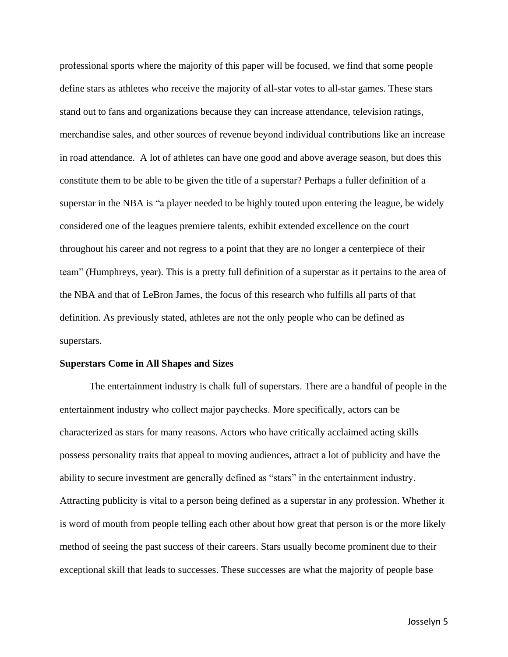professional sports where the majority of this paper will be focused, we find that some people define stars as athletes who receive the majority of all-star votes to all-star games. These stars stand out to fans and organizations because they can increase attendance, television ratings, merchandise sales, and other sources of revenue beyond individual contributions like an increase in road attendance. A lot of athletes can have one good and above average season, but does this constitute them to be able to be given the title of a superstar? Perhaps a fuller definition of a superstar in the NBA is "a player needed to be highly touted upon entering the league, be widely considered one of the leagues premiere talents, exhibit extended excellence on the court throughout his career and not regress to a point that they are no longer a centerpiece of their team" (Humphreys, year). This is a pretty full definition of a superstar as it pertains to the area of the NBA and that of LeBron James, the focus of this research who fulfills all parts of that definition. As previously stated, athletes are not the only people who can be defined as superstars.

#### **Superstars Come in All Shapes and Sizes**

The entertainment industry is chalk full of superstars. There are a handful of people in the entertainment industry who collect major paychecks. More specifically, actors can be characterized as stars for many reasons. Actors who have critically acclaimed acting skills possess personality traits that appeal to moving audiences, attract a lot of publicity and have the ability to secure investment are generally defined as "stars" in the entertainment industry. Attracting publicity is vital to a person being defined as a superstar in any profession. Whether it is word of mouth from people telling each other about how great that person is or the more likely method of seeing the past success of their careers. Stars usually become prominent due to their exceptional skill that leads to successes. These successes are what the majority of people base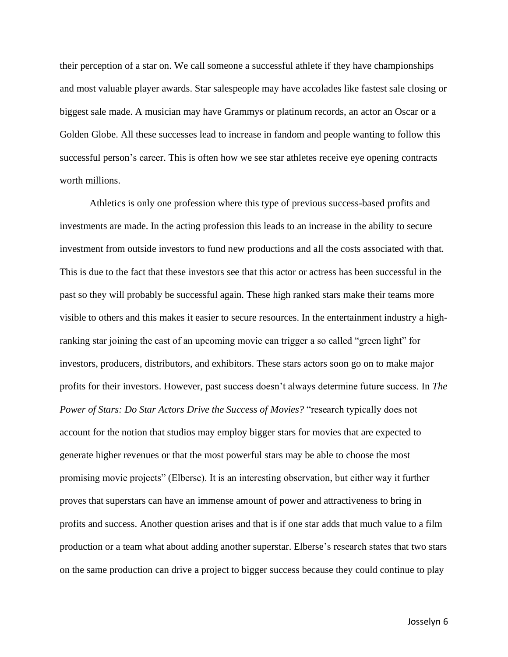their perception of a star on. We call someone a successful athlete if they have championships and most valuable player awards. Star salespeople may have accolades like fastest sale closing or biggest sale made. A musician may have Grammys or platinum records, an actor an Oscar or a Golden Globe. All these successes lead to increase in fandom and people wanting to follow this successful person's career. This is often how we see star athletes receive eye opening contracts worth millions.

Athletics is only one profession where this type of previous success-based profits and investments are made. In the acting profession this leads to an increase in the ability to secure investment from outside investors to fund new productions and all the costs associated with that. This is due to the fact that these investors see that this actor or actress has been successful in the past so they will probably be successful again. These high ranked stars make their teams more visible to others and this makes it easier to secure resources. In the entertainment industry a highranking star joining the cast of an upcoming movie can trigger a so called "green light" for investors, producers, distributors, and exhibitors. These stars actors soon go on to make major profits for their investors. However, past success doesn't always determine future success. In *The Power of Stars: Do Star Actors Drive the Success of Movies?* "research typically does not account for the notion that studios may employ bigger stars for movies that are expected to generate higher revenues or that the most powerful stars may be able to choose the most promising movie projects" (Elberse). It is an interesting observation, but either way it further proves that superstars can have an immense amount of power and attractiveness to bring in profits and success. Another question arises and that is if one star adds that much value to a film production or a team what about adding another superstar. Elberse's research states that two stars on the same production can drive a project to bigger success because they could continue to play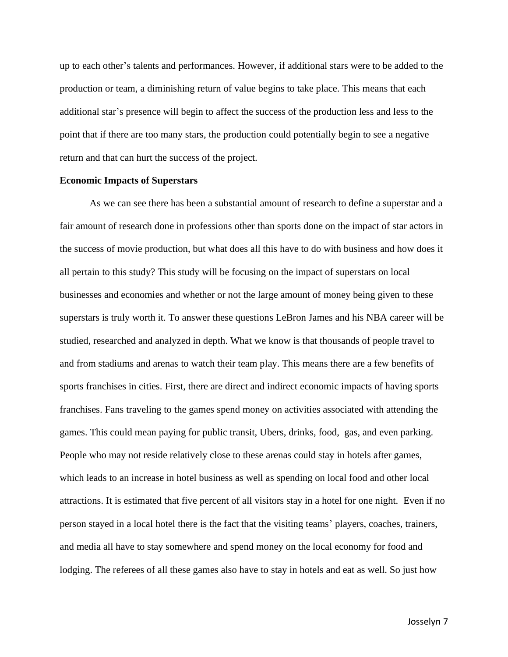up to each other's talents and performances. However, if additional stars were to be added to the production or team, a diminishing return of value begins to take place. This means that each additional star's presence will begin to affect the success of the production less and less to the point that if there are too many stars, the production could potentially begin to see a negative return and that can hurt the success of the project.

#### **Economic Impacts of Superstars**

As we can see there has been a substantial amount of research to define a superstar and a fair amount of research done in professions other than sports done on the impact of star actors in the success of movie production, but what does all this have to do with business and how does it all pertain to this study? This study will be focusing on the impact of superstars on local businesses and economies and whether or not the large amount of money being given to these superstars is truly worth it. To answer these questions LeBron James and his NBA career will be studied, researched and analyzed in depth. What we know is that thousands of people travel to and from stadiums and arenas to watch their team play. This means there are a few benefits of sports franchises in cities. First, there are direct and indirect economic impacts of having sports franchises. Fans traveling to the games spend money on activities associated with attending the games. This could mean paying for public transit, Ubers, drinks, food, gas, and even parking. People who may not reside relatively close to these arenas could stay in hotels after games, which leads to an increase in hotel business as well as spending on local food and other local attractions. It is estimated that five percent of all visitors stay in a hotel for one night. Even if no person stayed in a local hotel there is the fact that the visiting teams' players, coaches, trainers, and media all have to stay somewhere and spend money on the local economy for food and lodging. The referees of all these games also have to stay in hotels and eat as well. So just how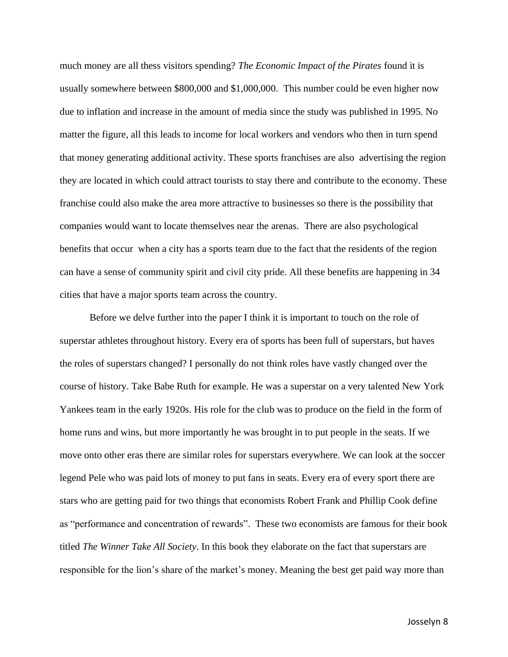much money are all thess visitors spending? *The Economic Impact of the Pirates* found it is usually somewhere between \$800,000 and \$1,000,000. This number could be even higher now due to inflation and increase in the amount of media since the study was published in 1995. No matter the figure, all this leads to income for local workers and vendors who then in turn spend that money generating additional activity. These sports franchises are also advertising the region they are located in which could attract tourists to stay there and contribute to the economy. These franchise could also make the area more attractive to businesses so there is the possibility that companies would want to locate themselves near the arenas. There are also psychological benefits that occur when a city has a sports team due to the fact that the residents of the region can have a sense of community spirit and civil city pride. All these benefits are happening in 34 cities that have a major sports team across the country.

Before we delve further into the paper I think it is important to touch on the role of superstar athletes throughout history. Every era of sports has been full of superstars, but haves the roles of superstars changed? I personally do not think roles have vastly changed over the course of history. Take Babe Ruth for example. He was a superstar on a very talented New York Yankees team in the early 1920s. His role for the club was to produce on the field in the form of home runs and wins, but more importantly he was brought in to put people in the seats. If we move onto other eras there are similar roles for superstars everywhere. We can look at the soccer legend Pele who was paid lots of money to put fans in seats. Every era of every sport there are stars who are getting paid for two things that economists Robert Frank and Phillip Cook define as "performance and concentration of rewards". These two economists are famous for their book titled *The Winner Take All Society*. In this book they elaborate on the fact that superstars are responsible for the lion's share of the market's money. Meaning the best get paid way more than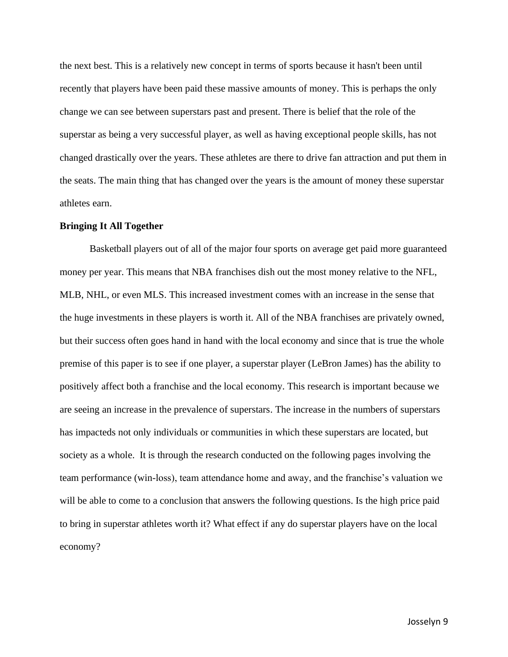the next best. This is a relatively new concept in terms of sports because it hasn't been until recently that players have been paid these massive amounts of money. This is perhaps the only change we can see between superstars past and present. There is belief that the role of the superstar as being a very successful player, as well as having exceptional people skills, has not changed drastically over the years. These athletes are there to drive fan attraction and put them in the seats. The main thing that has changed over the years is the amount of money these superstar athletes earn.

#### **Bringing It All Together**

Basketball players out of all of the major four sports on average get paid more guaranteed money per year. This means that NBA franchises dish out the most money relative to the NFL, MLB, NHL, or even MLS. This increased investment comes with an increase in the sense that the huge investments in these players is worth it. All of the NBA franchises are privately owned, but their success often goes hand in hand with the local economy and since that is true the whole premise of this paper is to see if one player, a superstar player (LeBron James) has the ability to positively affect both a franchise and the local economy. This research is important because we are seeing an increase in the prevalence of superstars. The increase in the numbers of superstars has impacteds not only individuals or communities in which these superstars are located, but society as a whole. It is through the research conducted on the following pages involving the team performance (win-loss), team attendance home and away, and the franchise's valuation we will be able to come to a conclusion that answers the following questions. Is the high price paid to bring in superstar athletes worth it? What effect if any do superstar players have on the local economy?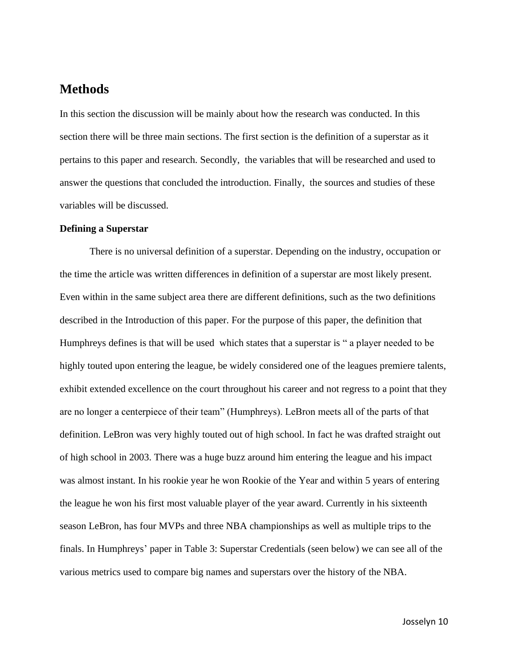## <span id="page-10-0"></span>**Methods**

In this section the discussion will be mainly about how the research was conducted. In this section there will be three main sections. The first section is the definition of a superstar as it pertains to this paper and research. Secondly, the variables that will be researched and used to answer the questions that concluded the introduction. Finally, the sources and studies of these variables will be discussed.

### **Defining a Superstar**

There is no universal definition of a superstar. Depending on the industry, occupation or the time the article was written differences in definition of a superstar are most likely present. Even within in the same subject area there are different definitions, such as the two definitions described in the Introduction of this paper. For the purpose of this paper, the definition that Humphreys defines is that will be used which states that a superstar is " a player needed to be highly touted upon entering the league, be widely considered one of the leagues premiere talents, exhibit extended excellence on the court throughout his career and not regress to a point that they are no longer a centerpiece of their team" (Humphreys). LeBron meets all of the parts of that definition. LeBron was very highly touted out of high school. In fact he was drafted straight out of high school in 2003. There was a huge buzz around him entering the league and his impact was almost instant. In his rookie year he won Rookie of the Year and within 5 years of entering the league he won his first most valuable player of the year award. Currently in his sixteenth season LeBron, has four MVPs and three NBA championships as well as multiple trips to the finals. In Humphreys' paper in Table 3: Superstar Credentials (seen below) we can see all of the various metrics used to compare big names and superstars over the history of the NBA.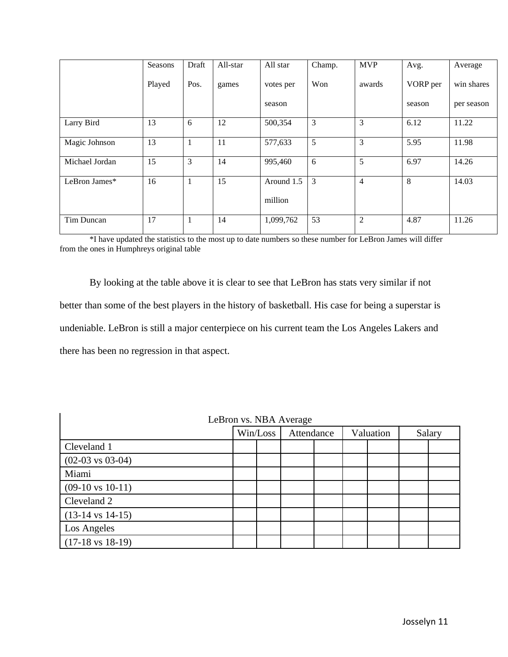|                | Seasons | Draft        | All-star | All star   | Champ.         | <b>MVP</b>     | Avg.     | Average    |
|----------------|---------|--------------|----------|------------|----------------|----------------|----------|------------|
|                | Played  | Pos.         | games    | votes per  | Won            | awards         | VORP per | win shares |
|                |         |              |          | season     |                |                | season   | per season |
| Larry Bird     | 13      | 6            | 12       | 500,354    | 3              | 3              | 6.12     | 11.22      |
| Magic Johnson  | 13      | 1            | 11       | 577,633    | 5              | 3              | 5.95     | 11.98      |
| Michael Jordan | 15      | 3            | 14       | 995,460    | 6              | 5              | 6.97     | 14.26      |
| LeBron James*  | 16      | $\mathbf{1}$ | 15       | Around 1.5 | $\overline{3}$ | $\overline{4}$ | 8        | 14.03      |
|                |         |              |          | million    |                |                |          |            |
| Tim Duncan     | 17      | 1            | 14       | 1,099,762  | 53             | $\overline{2}$ | 4.87     | 11.26      |

\*I have updated the statistics to the most up to date numbers so these number for LeBron James will differ from the ones in Humphreys original table

By looking at the table above it is clear to see that LeBron has stats very similar if not better than some of the best players in the history of basketball. His case for being a superstar is undeniable. LeBron is still a major centerpiece on his current team the Los Angeles Lakers and there has been no regression in that aspect.

| LeBron vs. NBA Average      |          |  |            |  |           |  |        |  |  |
|-----------------------------|----------|--|------------|--|-----------|--|--------|--|--|
|                             | Win/Loss |  | Attendance |  | Valuation |  | Salary |  |  |
| Cleveland 1                 |          |  |            |  |           |  |        |  |  |
| $(02-03 \text{ vs } 03-04)$ |          |  |            |  |           |  |        |  |  |
| Miami                       |          |  |            |  |           |  |        |  |  |
| $(09-10 \text{ vs } 10-11)$ |          |  |            |  |           |  |        |  |  |
| Cleveland 2                 |          |  |            |  |           |  |        |  |  |
| $(13-14 \text{ vs } 14-15)$ |          |  |            |  |           |  |        |  |  |
| Los Angeles                 |          |  |            |  |           |  |        |  |  |
| $(17-18 \text{ vs } 18-19)$ |          |  |            |  |           |  |        |  |  |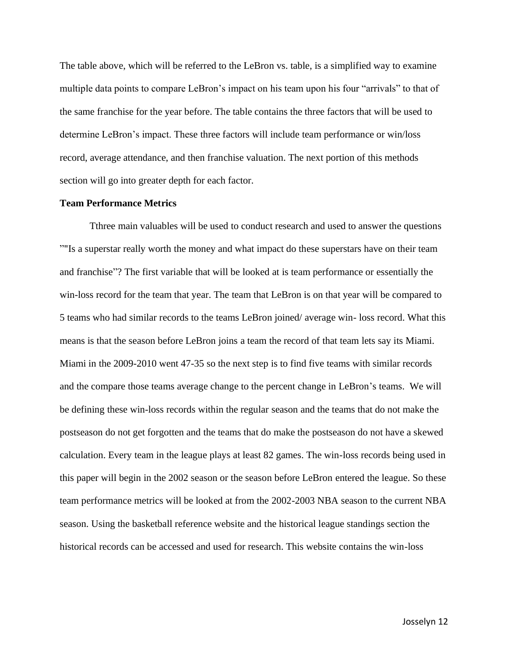The table above, which will be referred to the LeBron vs. table, is a simplified way to examine multiple data points to compare LeBron's impact on his team upon his four "arrivals" to that of the same franchise for the year before. The table contains the three factors that will be used to determine LeBron's impact. These three factors will include team performance or win/loss record, average attendance, and then franchise valuation. The next portion of this methods section will go into greater depth for each factor.

#### **Team Performance Metrics**

Tthree main valuables will be used to conduct research and used to answer the questions ""Is a superstar really worth the money and what impact do these superstars have on their team and franchise"? The first variable that will be looked at is team performance or essentially the win-loss record for the team that year. The team that LeBron is on that year will be compared to 5 teams who had similar records to the teams LeBron joined/ average win- loss record. What this means is that the season before LeBron joins a team the record of that team lets say its Miami. Miami in the 2009-2010 went 47-35 so the next step is to find five teams with similar records and the compare those teams average change to the percent change in LeBron's teams. We will be defining these win-loss records within the regular season and the teams that do not make the postseason do not get forgotten and the teams that do make the postseason do not have a skewed calculation. Every team in the league plays at least 82 games. The win-loss records being used in this paper will begin in the 2002 season or the season before LeBron entered the league. So these team performance metrics will be looked at from the 2002-2003 NBA season to the current NBA season. Using the basketball reference website and the historical league standings section the historical records can be accessed and used for research. This website contains the win-loss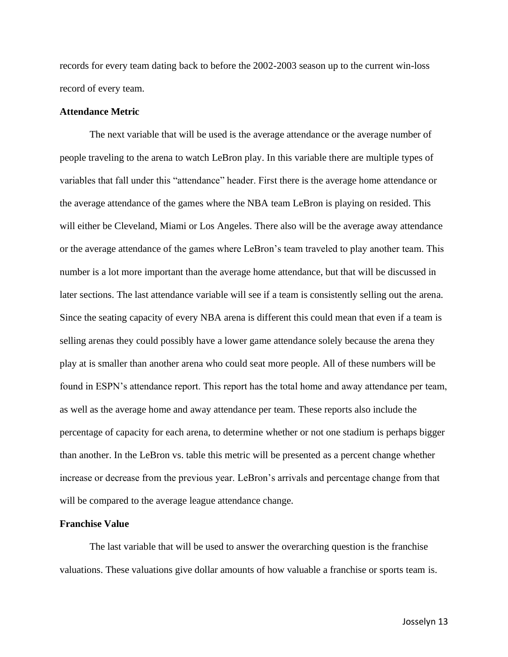records for every team dating back to before the 2002-2003 season up to the current win-loss record of every team.

### **Attendance Metric**

The next variable that will be used is the average attendance or the average number of people traveling to the arena to watch LeBron play. In this variable there are multiple types of variables that fall under this "attendance" header. First there is the average home attendance or the average attendance of the games where the NBA team LeBron is playing on resided. This will either be Cleveland, Miami or Los Angeles. There also will be the average away attendance or the average attendance of the games where LeBron's team traveled to play another team. This number is a lot more important than the average home attendance, but that will be discussed in later sections. The last attendance variable will see if a team is consistently selling out the arena. Since the seating capacity of every NBA arena is different this could mean that even if a team is selling arenas they could possibly have a lower game attendance solely because the arena they play at is smaller than another arena who could seat more people. All of these numbers will be found in ESPN's attendance report. This report has the total home and away attendance per team, as well as the average home and away attendance per team. These reports also include the percentage of capacity for each arena, to determine whether or not one stadium is perhaps bigger than another. In the LeBron vs. table this metric will be presented as a percent change whether increase or decrease from the previous year. LeBron's arrivals and percentage change from that will be compared to the average league attendance change.

#### **Franchise Value**

The last variable that will be used to answer the overarching question is the franchise valuations. These valuations give dollar amounts of how valuable a franchise or sports team is.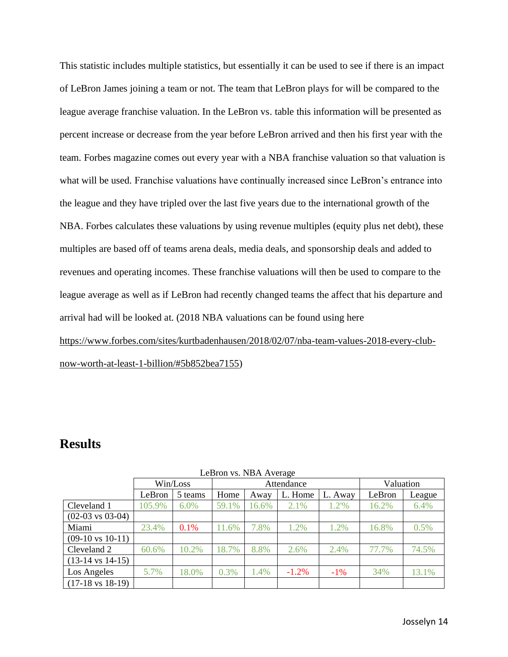This statistic includes multiple statistics, but essentially it can be used to see if there is an impact of LeBron James joining a team or not. The team that LeBron plays for will be compared to the league average franchise valuation. In the LeBron vs. table this information will be presented as percent increase or decrease from the year before LeBron arrived and then his first year with the team. Forbes magazine comes out every year with a NBA franchise valuation so that valuation is what will be used. Franchise valuations have continually increased since LeBron's entrance into the league and they have tripled over the last five years due to the international growth of the NBA. Forbes calculates these valuations by using revenue multiples (equity plus net debt), these multiples are based off of teams arena deals, media deals, and sponsorship deals and added to revenues and operating incomes. These franchise valuations will then be used to compare to the league average as well as if LeBron had recently changed teams the affect that his departure and arrival had will be looked at. (2018 NBA valuations can be found using here [https://www.forbes.com/sites/kurtbadenhausen/2018/02/07/nba-team-values-2018-every-club](https://www.forbes.com/sites/kurtbadenhausen/2018/02/07/nba-team-values-2018-every-club-now-worth-at-least-1-billion/#5b852bea7155)[now-worth-at-least-1-billion/#5b852bea7155\)](https://www.forbes.com/sites/kurtbadenhausen/2018/02/07/nba-team-values-2018-every-club-now-worth-at-least-1-billion/#5b852bea7155)

# <span id="page-14-0"></span>**Results**

| LUDIUII VS. INDA AVUASU     |          |         |       |            |           |         |        |        |  |  |
|-----------------------------|----------|---------|-------|------------|-----------|---------|--------|--------|--|--|
|                             | Win/Loss |         |       | Attendance | Valuation |         |        |        |  |  |
|                             | LeBron   | 5 teams | Home  | Away       | L. Home   | L. Away | LeBron | League |  |  |
| Cleveland 1                 | 105.9%   | $6.0\%$ | 59.1% | 16.6%      | 2.1%      | $1.2\%$ | 16.2%  | 6.4%   |  |  |
| $(02-03 \text{ vs } 03-04)$ |          |         |       |            |           |         |        |        |  |  |
| Miami                       | 23.4%    | 0.1%    | 11.6% | 7.8%       | 1.2%      | 1.2%    | 16.8%  | 0.5%   |  |  |
| $(09-10 \text{ vs } 10-11)$ |          |         |       |            |           |         |        |        |  |  |
| Cleveland 2                 | 60.6%    | 10.2%   | 18.7% | 8.8%       | 2.6%      | 2.4%    | 77.7%  | 74.5%  |  |  |
| $(13-14 \text{ vs } 14-15)$ |          |         |       |            |           |         |        |        |  |  |
| Los Angeles                 | 5.7%     | 18.0%   | 0.3%  | 1.4%       | $-1.2\%$  | $-1\%$  | 34%    | 13.1%  |  |  |
| $(17-18 \text{ vs } 18-19)$ |          |         |       |            |           |         |        |        |  |  |

LeBron vs. NBA Average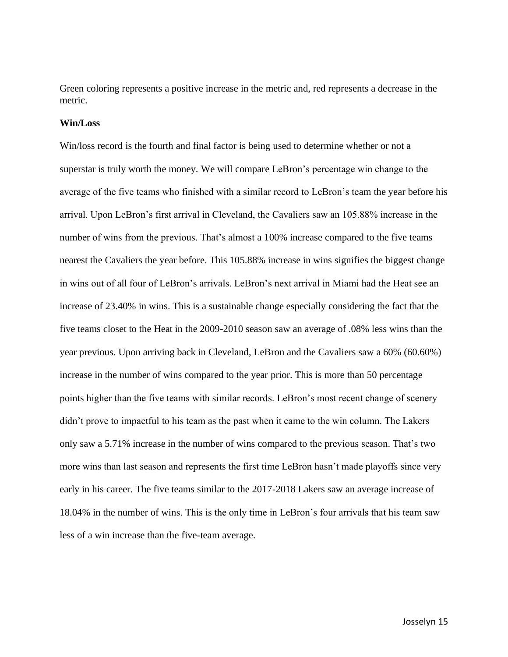Green coloring represents a positive increase in the metric and, red represents a decrease in the metric.

### **Win/Loss**

Win/loss record is the fourth and final factor is being used to determine whether or not a superstar is truly worth the money. We will compare LeBron's percentage win change to the average of the five teams who finished with a similar record to LeBron's team the year before his arrival. Upon LeBron's first arrival in Cleveland, the Cavaliers saw an 105.88% increase in the number of wins from the previous. That's almost a 100% increase compared to the five teams nearest the Cavaliers the year before. This 105.88% increase in wins signifies the biggest change in wins out of all four of LeBron's arrivals. LeBron's next arrival in Miami had the Heat see an increase of 23.40% in wins. This is a sustainable change especially considering the fact that the five teams closet to the Heat in the 2009-2010 season saw an average of .08% less wins than the year previous. Upon arriving back in Cleveland, LeBron and the Cavaliers saw a 60% (60.60%) increase in the number of wins compared to the year prior. This is more than 50 percentage points higher than the five teams with similar records. LeBron's most recent change of scenery didn't prove to impactful to his team as the past when it came to the win column. The Lakers only saw a 5.71% increase in the number of wins compared to the previous season. That's two more wins than last season and represents the first time LeBron hasn't made playoffs since very early in his career. The five teams similar to the 2017-2018 Lakers saw an average increase of 18.04% in the number of wins. This is the only time in LeBron's four arrivals that his team saw less of a win increase than the five-team average.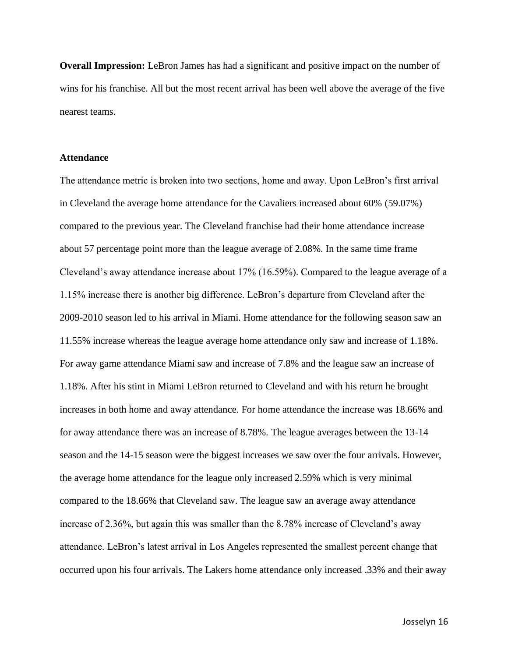**Overall Impression:** LeBron James has had a significant and positive impact on the number of wins for his franchise. All but the most recent arrival has been well above the average of the five nearest teams.

#### **Attendance**

The attendance metric is broken into two sections, home and away. Upon LeBron's first arrival in Cleveland the average home attendance for the Cavaliers increased about 60% (59.07%) compared to the previous year. The Cleveland franchise had their home attendance increase about 57 percentage point more than the league average of 2.08%. In the same time frame Cleveland's away attendance increase about 17% (16.59%). Compared to the league average of a 1.15% increase there is another big difference. LeBron's departure from Cleveland after the 2009-2010 season led to his arrival in Miami. Home attendance for the following season saw an 11.55% increase whereas the league average home attendance only saw and increase of 1.18%. For away game attendance Miami saw and increase of 7.8% and the league saw an increase of 1.18%. After his stint in Miami LeBron returned to Cleveland and with his return he brought increases in both home and away attendance. For home attendance the increase was 18.66% and for away attendance there was an increase of 8.78%. The league averages between the 13-14 season and the 14-15 season were the biggest increases we saw over the four arrivals. However, the average home attendance for the league only increased 2.59% which is very minimal compared to the 18.66% that Cleveland saw. The league saw an average away attendance increase of 2.36%, but again this was smaller than the 8.78% increase of Cleveland's away attendance. LeBron's latest arrival in Los Angeles represented the smallest percent change that occurred upon his four arrivals. The Lakers home attendance only increased .33% and their away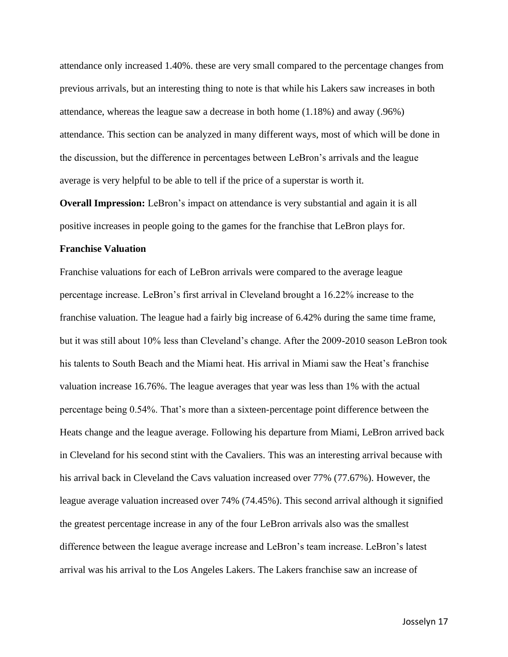attendance only increased 1.40%. these are very small compared to the percentage changes from previous arrivals, but an interesting thing to note is that while his Lakers saw increases in both attendance, whereas the league saw a decrease in both home (1.18%) and away (.96%) attendance. This section can be analyzed in many different ways, most of which will be done in the discussion, but the difference in percentages between LeBron's arrivals and the league average is very helpful to be able to tell if the price of a superstar is worth it.

**Overall Impression:** LeBron's impact on attendance is very substantial and again it is all positive increases in people going to the games for the franchise that LeBron plays for.

#### **Franchise Valuation**

Franchise valuations for each of LeBron arrivals were compared to the average league percentage increase. LeBron's first arrival in Cleveland brought a 16.22% increase to the franchise valuation. The league had a fairly big increase of 6.42% during the same time frame, but it was still about 10% less than Cleveland's change. After the 2009-2010 season LeBron took his talents to South Beach and the Miami heat. His arrival in Miami saw the Heat's franchise valuation increase 16.76%. The league averages that year was less than 1% with the actual percentage being 0.54%. That's more than a sixteen-percentage point difference between the Heats change and the league average. Following his departure from Miami, LeBron arrived back in Cleveland for his second stint with the Cavaliers. This was an interesting arrival because with his arrival back in Cleveland the Cavs valuation increased over 77% (77.67%). However, the league average valuation increased over 74% (74.45%). This second arrival although it signified the greatest percentage increase in any of the four LeBron arrivals also was the smallest difference between the league average increase and LeBron's team increase. LeBron's latest arrival was his arrival to the Los Angeles Lakers. The Lakers franchise saw an increase of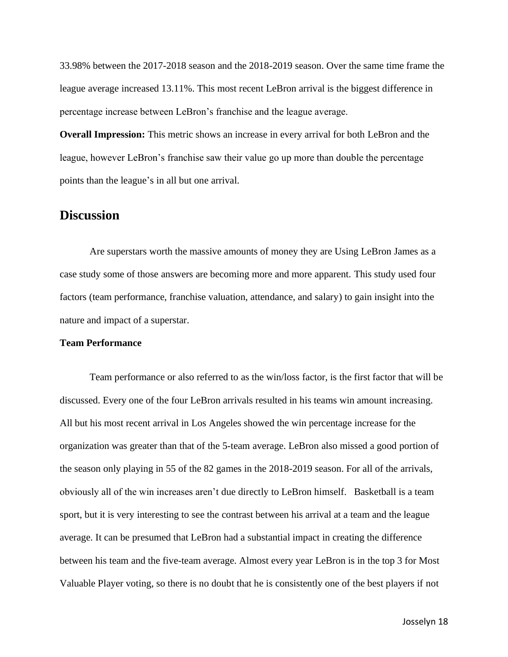33.98% between the 2017-2018 season and the 2018-2019 season. Over the same time frame the league average increased 13.11%. This most recent LeBron arrival is the biggest difference in percentage increase between LeBron's franchise and the league average.

**Overall Impression:** This metric shows an increase in every arrival for both LeBron and the league, however LeBron's franchise saw their value go up more than double the percentage points than the league's in all but one arrival.

### <span id="page-18-0"></span>**Discussion**

Are superstars worth the massive amounts of money they are Using LeBron James as a case study some of those answers are becoming more and more apparent. This study used four factors (team performance, franchise valuation, attendance, and salary) to gain insight into the nature and impact of a superstar.

### **Team Performance**

Team performance or also referred to as the win/loss factor, is the first factor that will be discussed. Every one of the four LeBron arrivals resulted in his teams win amount increasing. All but his most recent arrival in Los Angeles showed the win percentage increase for the organization was greater than that of the 5-team average. LeBron also missed a good portion of the season only playing in 55 of the 82 games in the 2018-2019 season. For all of the arrivals, obviously all of the win increases aren't due directly to LeBron himself. Basketball is a team sport, but it is very interesting to see the contrast between his arrival at a team and the league average. It can be presumed that LeBron had a substantial impact in creating the difference between his team and the five-team average. Almost every year LeBron is in the top 3 for Most Valuable Player voting, so there is no doubt that he is consistently one of the best players if not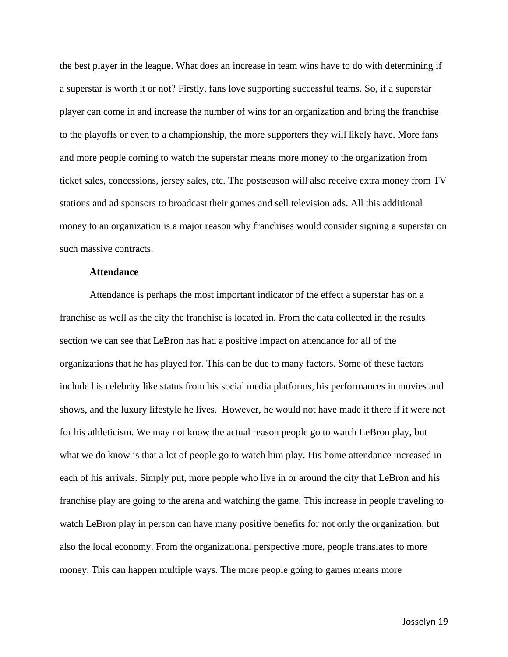the best player in the league. What does an increase in team wins have to do with determining if a superstar is worth it or not? Firstly, fans love supporting successful teams. So, if a superstar player can come in and increase the number of wins for an organization and bring the franchise to the playoffs or even to a championship, the more supporters they will likely have. More fans and more people coming to watch the superstar means more money to the organization from ticket sales, concessions, jersey sales, etc. The postseason will also receive extra money from TV stations and ad sponsors to broadcast their games and sell television ads. All this additional money to an organization is a major reason why franchises would consider signing a superstar on such massive contracts.

#### **Attendance**

Attendance is perhaps the most important indicator of the effect a superstar has on a franchise as well as the city the franchise is located in. From the data collected in the results section we can see that LeBron has had a positive impact on attendance for all of the organizations that he has played for. This can be due to many factors. Some of these factors include his celebrity like status from his social media platforms, his performances in movies and shows, and the luxury lifestyle he lives. However, he would not have made it there if it were not for his athleticism. We may not know the actual reason people go to watch LeBron play, but what we do know is that a lot of people go to watch him play. His home attendance increased in each of his arrivals. Simply put, more people who live in or around the city that LeBron and his franchise play are going to the arena and watching the game. This increase in people traveling to watch LeBron play in person can have many positive benefits for not only the organization, but also the local economy. From the organizational perspective more, people translates to more money. This can happen multiple ways. The more people going to games means more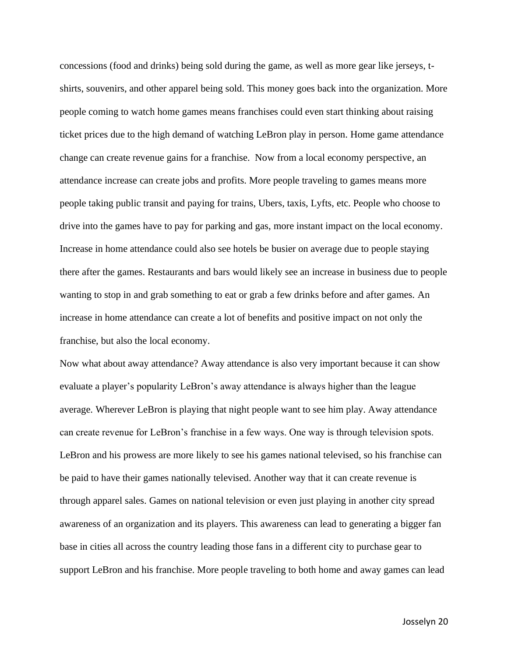concessions (food and drinks) being sold during the game, as well as more gear like jerseys, tshirts, souvenirs, and other apparel being sold. This money goes back into the organization. More people coming to watch home games means franchises could even start thinking about raising ticket prices due to the high demand of watching LeBron play in person. Home game attendance change can create revenue gains for a franchise. Now from a local economy perspective, an attendance increase can create jobs and profits. More people traveling to games means more people taking public transit and paying for trains, Ubers, taxis, Lyfts, etc. People who choose to drive into the games have to pay for parking and gas, more instant impact on the local economy. Increase in home attendance could also see hotels be busier on average due to people staying there after the games. Restaurants and bars would likely see an increase in business due to people wanting to stop in and grab something to eat or grab a few drinks before and after games. An increase in home attendance can create a lot of benefits and positive impact on not only the franchise, but also the local economy.

Now what about away attendance? Away attendance is also very important because it can show evaluate a player's popularity LeBron's away attendance is always higher than the league average. Wherever LeBron is playing that night people want to see him play. Away attendance can create revenue for LeBron's franchise in a few ways. One way is through television spots. LeBron and his prowess are more likely to see his games national televised, so his franchise can be paid to have their games nationally televised. Another way that it can create revenue is through apparel sales. Games on national television or even just playing in another city spread awareness of an organization and its players. This awareness can lead to generating a bigger fan base in cities all across the country leading those fans in a different city to purchase gear to support LeBron and his franchise. More people traveling to both home and away games can lead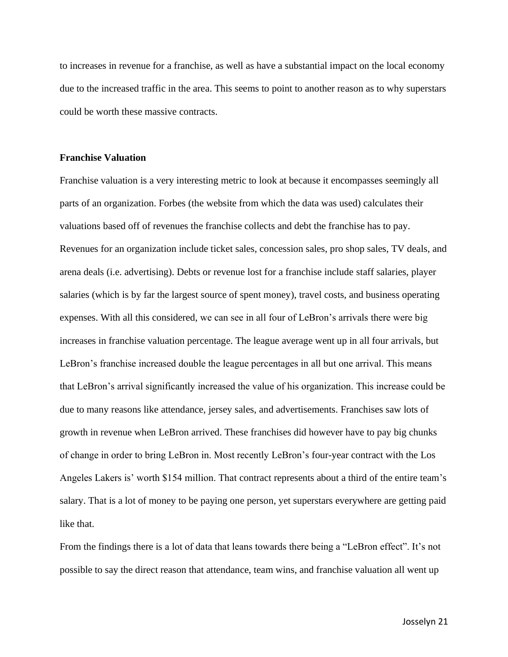to increases in revenue for a franchise, as well as have a substantial impact on the local economy due to the increased traffic in the area. This seems to point to another reason as to why superstars could be worth these massive contracts.

#### **Franchise Valuation**

Franchise valuation is a very interesting metric to look at because it encompasses seemingly all parts of an organization. Forbes (the website from which the data was used) calculates their valuations based off of revenues the franchise collects and debt the franchise has to pay. Revenues for an organization include ticket sales, concession sales, pro shop sales, TV deals, and arena deals (i.e. advertising). Debts or revenue lost for a franchise include staff salaries, player salaries (which is by far the largest source of spent money), travel costs, and business operating expenses. With all this considered, we can see in all four of LeBron's arrivals there were big increases in franchise valuation percentage. The league average went up in all four arrivals, but LeBron's franchise increased double the league percentages in all but one arrival. This means that LeBron's arrival significantly increased the value of his organization. This increase could be due to many reasons like attendance, jersey sales, and advertisements. Franchises saw lots of growth in revenue when LeBron arrived. These franchises did however have to pay big chunks of change in order to bring LeBron in. Most recently LeBron's four-year contract with the Los Angeles Lakers is' worth \$154 million. That contract represents about a third of the entire team's salary. That is a lot of money to be paying one person, yet superstars everywhere are getting paid like that.

From the findings there is a lot of data that leans towards there being a "LeBron effect". It's not possible to say the direct reason that attendance, team wins, and franchise valuation all went up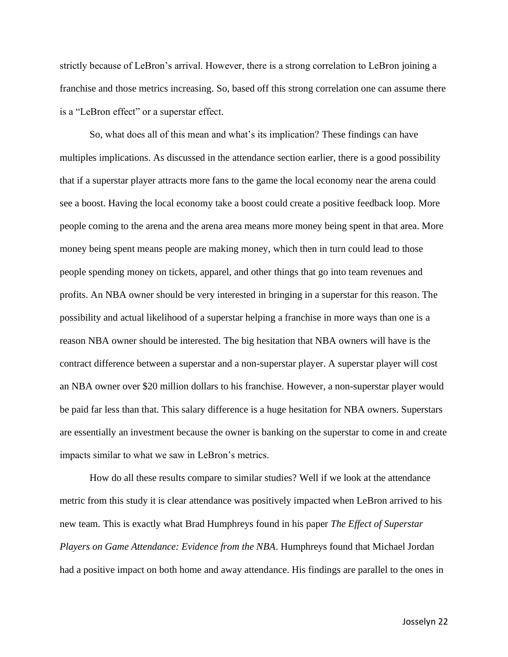strictly because of LeBron's arrival. However, there is a strong correlation to LeBron joining a franchise and those metrics increasing. So, based off this strong correlation one can assume there is a "LeBron effect" or a superstar effect.

So, what does all of this mean and what's its implication? These findings can have multiples implications. As discussed in the attendance section earlier, there is a good possibility that if a superstar player attracts more fans to the game the local economy near the arena could see a boost. Having the local economy take a boost could create a positive feedback loop. More people coming to the arena and the arena area means more money being spent in that area. More money being spent means people are making money, which then in turn could lead to those people spending money on tickets, apparel, and other things that go into team revenues and profits. An NBA owner should be very interested in bringing in a superstar for this reason. The possibility and actual likelihood of a superstar helping a franchise in more ways than one is a reason NBA owner should be interested. The big hesitation that NBA owners will have is the contract difference between a superstar and a non-superstar player. A superstar player will cost an NBA owner over \$20 million dollars to his franchise. However, a non-superstar player would be paid far less than that. This salary difference is a huge hesitation for NBA owners. Superstars are essentially an investment because the owner is banking on the superstar to come in and create impacts similar to what we saw in LeBron's metrics.

How do all these results compare to similar studies? Well if we look at the attendance metric from this study it is clear attendance was positively impacted when LeBron arrived to his new team. This is exactly what Brad Humphreys found in his paper *The Effect of Superstar Players on Game Attendance: Evidence from the NBA*. Humphreys found that Michael Jordan had a positive impact on both home and away attendance. His findings are parallel to the ones in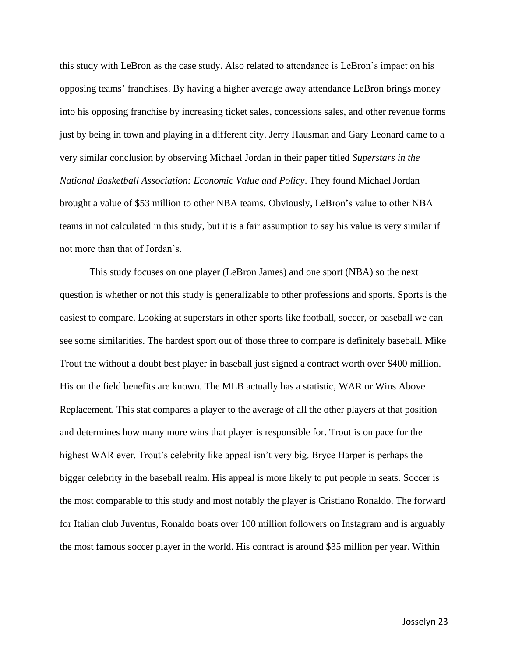this study with LeBron as the case study. Also related to attendance is LeBron's impact on his opposing teams' franchises. By having a higher average away attendance LeBron brings money into his opposing franchise by increasing ticket sales, concessions sales, and other revenue forms just by being in town and playing in a different city. Jerry Hausman and Gary Leonard came to a very similar conclusion by observing Michael Jordan in their paper titled *Superstars in the National Basketball Association: Economic Value and Policy*. They found Michael Jordan brought a value of \$53 million to other NBA teams. Obviously, LeBron's value to other NBA teams in not calculated in this study, but it is a fair assumption to say his value is very similar if not more than that of Jordan's.

This study focuses on one player (LeBron James) and one sport (NBA) so the next question is whether or not this study is generalizable to other professions and sports. Sports is the easiest to compare. Looking at superstars in other sports like football, soccer, or baseball we can see some similarities. The hardest sport out of those three to compare is definitely baseball. Mike Trout the without a doubt best player in baseball just signed a contract worth over \$400 million. His on the field benefits are known. The MLB actually has a statistic, WAR or Wins Above Replacement. This stat compares a player to the average of all the other players at that position and determines how many more wins that player is responsible for. Trout is on pace for the highest WAR ever. Trout's celebrity like appeal isn't very big. Bryce Harper is perhaps the bigger celebrity in the baseball realm. His appeal is more likely to put people in seats. Soccer is the most comparable to this study and most notably the player is Cristiano Ronaldo. The forward for Italian club Juventus, Ronaldo boats over 100 million followers on Instagram and is arguably the most famous soccer player in the world. His contract is around \$35 million per year. Within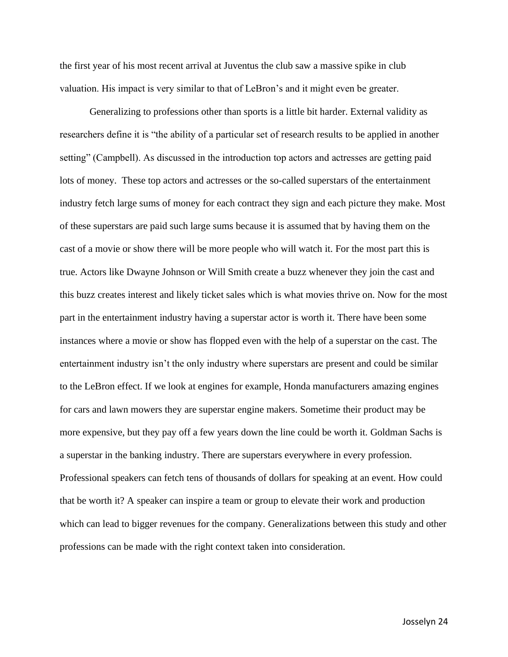the first year of his most recent arrival at Juventus the club saw a massive spike in club valuation. His impact is very similar to that of LeBron's and it might even be greater.

Generalizing to professions other than sports is a little bit harder. External validity as researchers define it is "the ability of a particular set of research results to be applied in another setting" (Campbell). As discussed in the introduction top actors and actresses are getting paid lots of money. These top actors and actresses or the so-called superstars of the entertainment industry fetch large sums of money for each contract they sign and each picture they make. Most of these superstars are paid such large sums because it is assumed that by having them on the cast of a movie or show there will be more people who will watch it. For the most part this is true. Actors like Dwayne Johnson or Will Smith create a buzz whenever they join the cast and this buzz creates interest and likely ticket sales which is what movies thrive on. Now for the most part in the entertainment industry having a superstar actor is worth it. There have been some instances where a movie or show has flopped even with the help of a superstar on the cast. The entertainment industry isn't the only industry where superstars are present and could be similar to the LeBron effect. If we look at engines for example, Honda manufacturers amazing engines for cars and lawn mowers they are superstar engine makers. Sometime their product may be more expensive, but they pay off a few years down the line could be worth it. Goldman Sachs is a superstar in the banking industry. There are superstars everywhere in every profession. Professional speakers can fetch tens of thousands of dollars for speaking at an event. How could that be worth it? A speaker can inspire a team or group to elevate their work and production which can lead to bigger revenues for the company. Generalizations between this study and other professions can be made with the right context taken into consideration.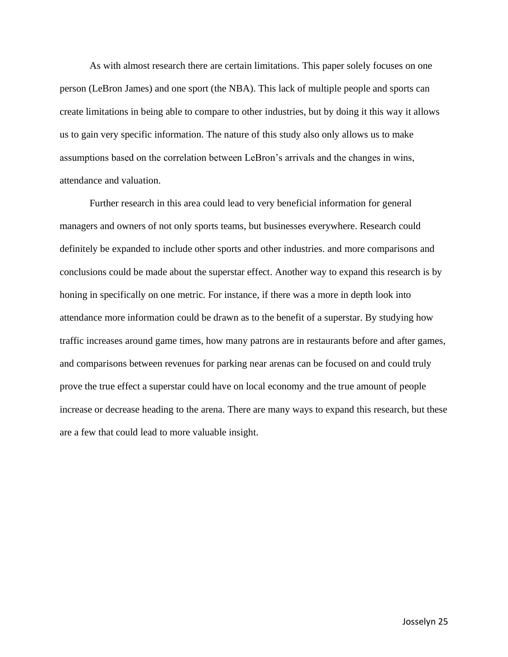As with almost research there are certain limitations. This paper solely focuses on one person (LeBron James) and one sport (the NBA). This lack of multiple people and sports can create limitations in being able to compare to other industries, but by doing it this way it allows us to gain very specific information. The nature of this study also only allows us to make assumptions based on the correlation between LeBron's arrivals and the changes in wins, attendance and valuation.

Further research in this area could lead to very beneficial information for general managers and owners of not only sports teams, but businesses everywhere. Research could definitely be expanded to include other sports and other industries. and more comparisons and conclusions could be made about the superstar effect. Another way to expand this research is by honing in specifically on one metric. For instance, if there was a more in depth look into attendance more information could be drawn as to the benefit of a superstar. By studying how traffic increases around game times, how many patrons are in restaurants before and after games, and comparisons between revenues for parking near arenas can be focused on and could truly prove the true effect a superstar could have on local economy and the true amount of people increase or decrease heading to the arena. There are many ways to expand this research, but these are a few that could lead to more valuable insight.